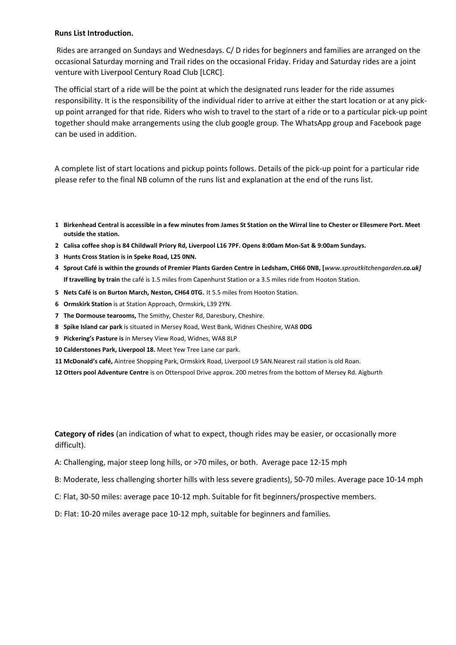## **Runs List Introduction.**

Rides are arranged on Sundays and Wednesdays. C/ D rides for beginners and families are arranged on the occasional Saturday morning and Trail rides on the occasional Friday. Friday and Saturday rides are a joint venture with Liverpool Century Road Club [LCRC].

The official start of a ride will be the point at which the designated runs leader for the ride assumes responsibility. It is the responsibility of the individual rider to arrive at either the start location or at any pickup point arranged for that ride. Riders who wish to travel to the start of a ride or to a particular pick-up point together should make arrangements using the club google group. The WhatsApp group and Facebook page can be used in addition.

A complete list of start locations and pickup points follows. Details of the pick-up point for a particular ride please refer to the final NB column of the runs list and explanation at the end of the runs list.

- **1 Birkenhead Central is accessible in a few minutes from James St Station on the Wirral line to Chester or Ellesmere Port. Meet outside the station.**
- **2 Calisa coffee shop is 84 Childwall Priory Rd, Liverpool L16 7PF. Opens 8:00am Mon-Sat & 9:00am Sundays.**
- **3 Hunts Cross Station is in Speke Road, L25 0NN.**
- **4 Sprout Café is within the grounds of Premier Plants Garden Centre in Ledsham, CH66 0NB, [***www.sproutkitchengarden.co.uk]* **If travelling by train** the café is 1.5 miles from Capenhurst Station or a 3.5 miles ride from Hooton Station.
- **5 Nets Café is on Burton March, Neston, CH64 0TG**. It 5.5 miles from Hooton Station.
- **6 Ormskirk Station** is at Station Approach, Ormskirk, L39 2YN.
- **7 The Dormouse tearooms,** The Smithy, Chester Rd, Daresbury, Cheshire.
- **8 Spike Island car park** is situated in Mersey Road, West Bank, Widnes Cheshire, WA8 **0DG**
- **9 Pickering's Pasture is** in Mersey View Road, Widnes, WA8 8LP
- **10 Calderstones Park, Liverpool 18.** Meet Yew Tree Lane car park.
- **11 McDonald's café,** Aintree Shopping Park, Ormskirk Road, Liverpool L9 5AN.Nearest rail station is old Roan.
- **12 Otters pool Adventure Centre** is on Otterspool Drive approx. 200 metres from the bottom of Mersey Rd. Aigburth

**Category of rides** (an indication of what to expect, though rides may be easier, or occasionally more difficult).

- A: Challenging, major steep long hills, or >70 miles, or both. Average pace 12-15 mph
- B: Moderate, less challenging shorter hills with less severe gradients), 50-70 miles. Average pace 10-14 mph
- C: Flat, 30-50 miles: average pace 10-12 mph. Suitable for fit beginners/prospective members.
- D: Flat: 10-20 miles average pace 10-12 mph, suitable for beginners and families.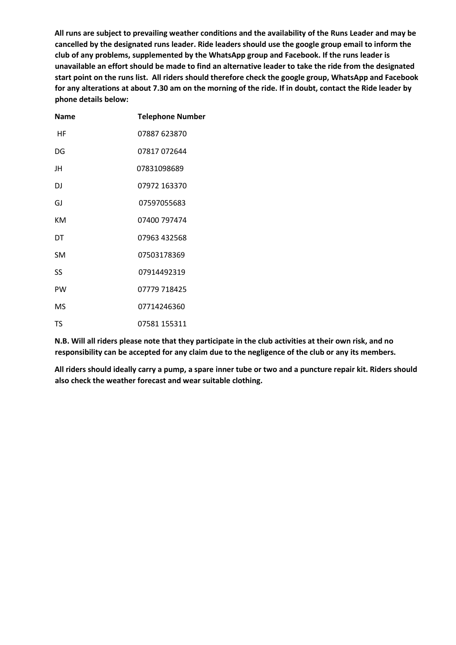**All runs are subject to prevailing weather conditions and the availability of the Runs Leader and may be cancelled by the designated runs leader. Ride leaders should use the google group email to inform the club of any problems, supplemented by the WhatsApp group and Facebook. If the runs leader is unavailable an effort should be made to find an alternative leader to take the ride from the designated start point on the runs list. All riders should therefore check the google group, WhatsApp and Facebook for any alterations at about 7.30 am on the morning of the ride. If in doubt, contact the Ride leader by phone details below:**

| Name      | <b>Telephone Number</b> |
|-----------|-------------------------|
| НF        | 07887 623870            |
| DG        | 07817 072644            |
| JH        | 07831098689             |
| DJ        | 07972 163370            |
| GJ        | 07597055683             |
| ĸм        | 07400 797474            |
| DT        | 07963 432568            |
| <b>SM</b> | 07503178369             |
| SS        | 07914492319             |
| PW        | 07779 718425            |
| MS        | 07714246360             |
| TS        | 07581 155311            |

**N.B. Will all riders please note that they participate in the club activities at their own risk, and no responsibility can be accepted for any claim due to the negligence of the club or any its members.** 

**All riders should ideally carry a pump, a spare inner tube or two and a puncture repair kit. Riders should also check the weather forecast and wear suitable clothing.**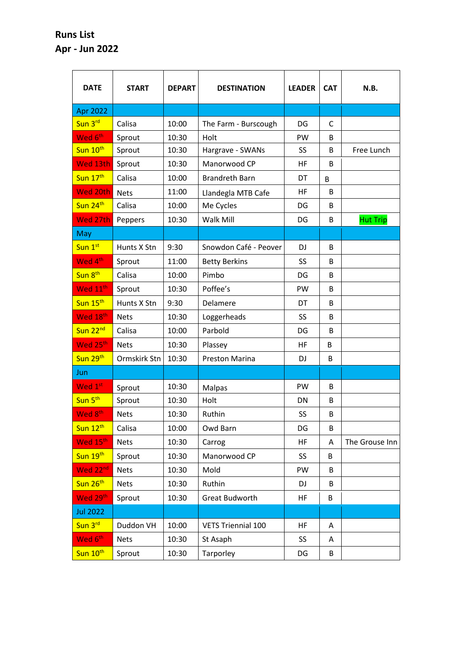## **Runs List Apr - Jun 2022**

| <b>DATE</b>          | <b>START</b> | <b>DEPART</b> | <b>DESTINATION</b>        | <b>LEADER</b> | <b>CAT</b> | N.B.            |
|----------------------|--------------|---------------|---------------------------|---------------|------------|-----------------|
| Apr 2022             |              |               |                           |               |            |                 |
| Sun 3rd              | Calisa       | 10:00         | The Farm - Burscough      | DG            | C          |                 |
| Wed 6 <sup>th</sup>  | Sprout       | 10:30         | Holt                      | PW            | B          |                 |
| Sun 10th             | Sprout       | 10:30         | Hargrave - SWANs          | SS            | B          | Free Lunch      |
| Wed 13th             | Sprout       | 10:30         | Manorwood CP              | HF            | B          |                 |
| Sun 17th             | Calisa       | 10:00         | <b>Brandreth Barn</b>     | DT            | B          |                 |
| Wed 20th             | <b>Nets</b>  | 11:00         | Llandegla MTB Cafe        | HF            | B          |                 |
| Sun 24th             | Calisa       | 10:00         | Me Cycles                 | DG            | B          |                 |
| Wed 27th             | Peppers      | 10:30         | Walk Mill                 | DG            | B          | <b>Hut Trip</b> |
| May                  |              |               |                           |               |            |                 |
| Sun 1st              | Hunts X Stn  | 9:30          | Snowdon Café - Peover     | <b>DJ</b>     | B          |                 |
| Wed 4 <sup>th</sup>  | Sprout       | 11:00         | <b>Betty Berkins</b>      | SS            | B          |                 |
| Sun 8 <sup>th</sup>  | Calisa       | 10:00         | Pimbo                     | DG            | B          |                 |
| Wed 11 <sup>th</sup> | Sprout       | 10:30         | Poffee's                  | PW            | B          |                 |
| Sun 15 <sup>th</sup> | Hunts X Stn  | 9:30          | Delamere                  | DT            | B          |                 |
| Wed 18th             | <b>Nets</b>  | 10:30         | Loggerheads               | SS            | B          |                 |
| Sun 22 <sup>nd</sup> | Calisa       | 10:00         | Parbold                   | DG            | B          |                 |
| Wed 25th             | <b>Nets</b>  | 10:30         | Plassey                   | HF            | B          |                 |
| Sun 29 <sup>th</sup> | Ormskirk Stn | 10:30         | Preston Marina            | DJ            | B          |                 |
| Jun                  |              |               |                           |               |            |                 |
| Wed 1st              | Sprout       | 10:30         | <b>Malpas</b>             | PW            | B          |                 |
| Sun 5 <sup>th</sup>  | Sprout       | 10:30         | Holt                      | <b>DN</b>     | B          |                 |
| Wed 8 <sup>th</sup>  | <b>Nets</b>  | 10:30         | Ruthin                    | SS            | B          |                 |
| Sun 12 <sup>th</sup> | Calisa       | 10:00         | Owd Barn                  | DG            | B          |                 |
| Wed 15th             | <b>Nets</b>  | 10:30         | Carrog                    | HF            | A          | The Grouse Inn  |
| Sun 19th             | Sprout       | 10:30         | Manorwood CP              | SS            | B          |                 |
| Wed 22 <sup>nd</sup> | <b>Nets</b>  | 10:30         | Mold                      | PW            | B          |                 |
| Sun 26 <sup>th</sup> | <b>Nets</b>  | 10:30         | Ruthin                    | DJ            | B          |                 |
| Wed 29th             | Sprout       | 10:30         | <b>Great Budworth</b>     | HF            | B          |                 |
| <b>Jul 2022</b>      |              |               |                           |               |            |                 |
| Sun 3rd              | Duddon VH    | 10:00         | <b>VETS Triennial 100</b> | HF            | A          |                 |
| Wed 6 <sup>th</sup>  | <b>Nets</b>  | 10:30         | St Asaph                  | SS            | A          |                 |
| Sun 10 <sup>th</sup> | Sprout       | 10:30         | Tarporley                 | DG            | B          |                 |